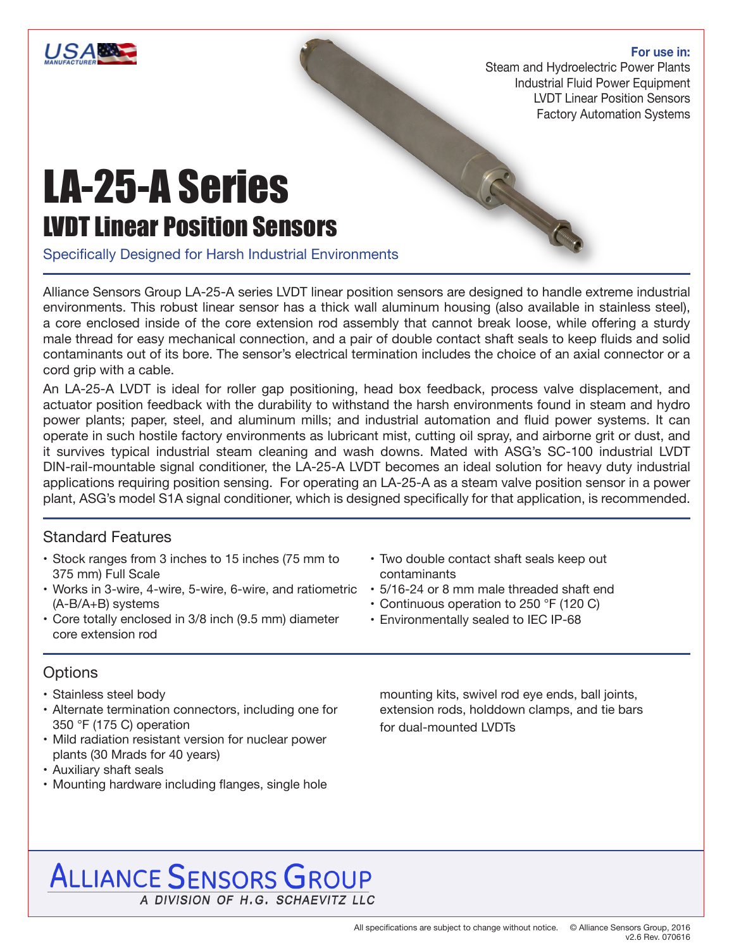

#### **For use in:**

Steam and Hydroelectric Power Plants Industrial Fluid Power Equipment LVDT Linear Position Sensors Factory Automation Systems

R

# LA-25-A Series LVDT Linear Position Sensors

Specifically Designed for Harsh Industrial Environments

Alliance Sensors Group LA-25-A series LVDT linear position sensors are designed to handle extreme industrial environments. This robust linear sensor has a thick wall aluminum housing (also available in stainless steel), a core enclosed inside of the core extension rod assembly that cannot break loose, while offering a sturdy male thread for easy mechanical connection, and a pair of double contact shaft seals to keep fluids and solid contaminants out of its bore. The sensor's electrical termination includes the choice of an axial connector or a cord grip with a cable.

An LA-25-A LVDT is ideal for roller gap positioning, head box feedback, process valve displacement, and actuator position feedback with the durability to withstand the harsh environments found in steam and hydro power plants; paper, steel, and aluminum mills; and industrial automation and fluid power systems. It can operate in such hostile factory environments as lubricant mist, cutting oil spray, and airborne grit or dust, and it survives typical industrial steam cleaning and wash downs. Mated with ASG's SC-100 industrial LVDT DIN-rail-mountable signal conditioner, the LA-25-A LVDT becomes an ideal solution for heavy duty industrial applications requiring position sensing. For operating an LA-25-A as a steam valve position sensor in a power plant, ASG's model S1A signal conditioner, which is designed specifically for that application, is recommended.

## Standard Features

- Stock ranges from 3 inches to 15 inches (75 mm to 375 mm) Full Scale
- Works in 3-wire, 4-wire, 5-wire, 6-wire, and ratiometric (A-B/A+B) systems
- Core totally enclosed in 3/8 inch (9.5 mm) diameter core extension rod

## **Options**

- Stainless steel body
- Alternate termination connectors, including one for 350 °F (175 C) operation
- Mild radiation resistant version for nuclear power plants (30 Mrads for 40 years)
- Auxiliary shaft seals
- Mounting hardware including flanges, single hole
- Two double contact shaft seals keep out contaminants
- 5/16-24 or 8 mm male threaded shaft end
- Continuous operation to 250 °F (120 C)
- Environmentally sealed to IEC IP-68

mounting kits, swivel rod eye ends, ball joints, extension rods, holddown clamps, and tie bars for dual-mounted LVDTs

# **ALLIANCE SENSORS GROUP** A DIVISION OF H.G. SCHAEVITZ LLC